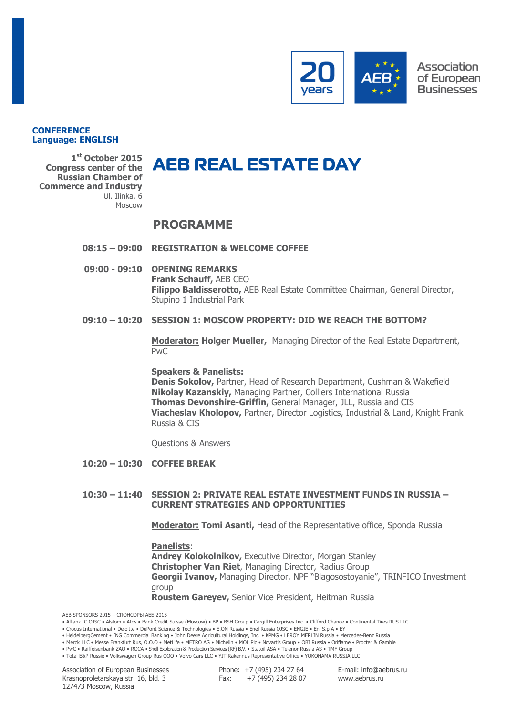

#### **CONFERENCE Language: ENGLISH**

**1 st October 2015 Congress center of the Russian Chamber of Commerce and Industry** Ul. Ilinka, 6 Moscow

# **PROGRAMME**

## **08:15 – 09:00 REGISTRATION & WELCOME COFFEE**

**09:00 - 09:10 OPENING REMARKS Frank Schauff,** AEB CEO **Filippo Baldisserotto,** AEB Real Estate Committee Chairman, General Director, Stupino 1 Industrial Park

## **09:10 – 10:20 SESSION 1: MOSCOW PROPERTY: DID WE REACH THE BOTTOM?**

**Moderator: Holger Mueller,** Managing Director of the Real Estate Department, PwC

#### **Speakers & Panelists:**

**Denis Sokolov,** Partner, Head of Research Department, Cushman & Wakefield **Nikolay Kazanskiy,** Managing Partner, Colliers International Russia **Thomas Devonshire-Griffin,** General Manager, JLL, Russia and CIS **Viacheslav Kholopov,** Partner, Director Logistics, Industrial & Land, Knight Frank Russia & CIS

Questions & Answers

**10:20 – 10:30 COFFEE BREAK**

#### **10:30 – 11:40 SESSION 2: PRIVATE REAL ESTATE INVESTMENT FUNDS IN RUSSIA – CURRENT STRATEGIES AND OPPORTUNITIES**

**Moderator: Tomi Asanti,** Head of the Representative office, Sponda Russia

**Panelists**: **Andrey Kolokolnikov,** Executive Director, Morgan Stanley **Christopher Van Riet**, Managing Director, Radius Group **Georgii Ivanov,** Managing Director, NPF "Blagosostoyanie", TRINFICO Investment group **Roustem Gareyev,** Senior Vice President, Heitman Russia

AEB SPONSORS 2015 – СПОНСОРЫ АЕБ 2015

• Allianz IC OJSC • Alstom • Atos • Bank Credit Suisse (Moscow) • BP • BSH Group • Cargill Enterprises Inc. • Clifford Chance • Continental Tires RUS LLC

• HeidelbergCement • ING Commercial Banking • John Deere Agricultural Holdings, Inc. • KPMG • LEROY MERLIN Russia • Mercedes-Benz Russia

• PwC • Raiffeisenbank ZAO • ROCA • Shell Exploration & Production Services (RF) B.V. • Statoil ASA • Telenor Russia AS • TMF Group • Total E&P Russie • Volkswagen Group Rus OOO • Volvo Cars LLC • YIT Rakennus Representative Office • YOKOHAMA RUSSIA LLC

Association of European Businesses Krasnoproletarskaya str. 16, bld. 3 127473 Moscow, Russia

Phone: +7 (495) 234 27 64 Fax: +7 (495) 234 28 07 E-mail: info@aebrus.ru www.aebrus.ru

<sup>•</sup> Crocus International • Deloitte • DuPont Science & Technologies • E.ON Russia • Enel Russia OJSC • ENGIE • Eni S.p.A • EY

<sup>•</sup> Merck LLC • Messe Frankfurt Rus, O.O.O • MetLife • METRO AG • Michelin • MOL Plc • Novartis Group • OBI Russia • Oriflame • Procter & Gamble